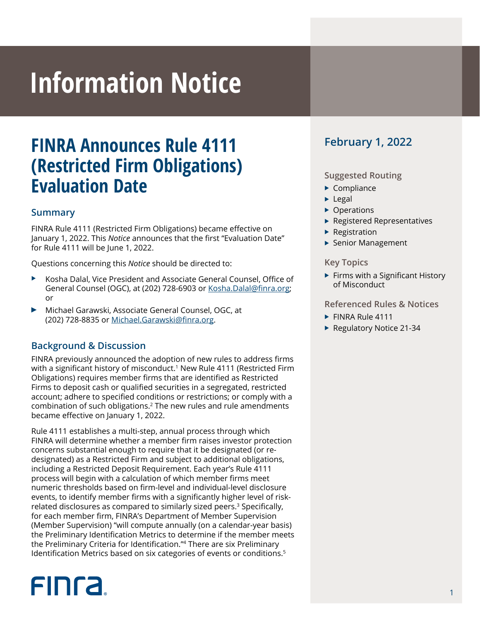# **Information Notice**

# **FINRA Announces Rule 4111 (Restricted Firm Obligations) Evaluation Date**

#### **Summary**

FINRA Rule 4111 (Restricted Firm Obligations) became effective on January 1, 2022. This *Notice* announces that the first "Evaluation Date" for Rule 4111 will be June 1, 2022.

Questions concerning this *Notice* should be directed to:

- <sup>X</sup> Kosha Dalal, Vice President and Associate General Counsel, Office of General Counsel (OGC), at (202) 728-6903 or [Kosha.Dalal@finra.org](mailto:Kosha.Dalal@finra.org); or
- <sup>0</sup> Michael Garawski, Associate General Counsel, OGC, at (202) 728-8835 or [Michael.Garawski@finra.org.](mailto:Michael.Garawski@finra.org)

### **Background & Discussion**

FINRA previously announced the adoption of new rules to address firms with a significant history of misconduct.<sup>1</sup> New Rule 4111 (Restricted Firm Obligations) requires member firms that are identified as Restricted Firms to deposit cash or qualified securities in a segregated, restricted account; adhere to specified conditions or restrictions; or comply with a combination of such obligations.2 The new rules and rule amendments became effective on January 1, 2022.

Rule 4111 establishes a multi-step, annual process through which FINRA will determine whether a member firm raises investor protection concerns substantial enough to require that it be designated (or redesignated) as a Restricted Firm and subject to additional obligations, including a Restricted Deposit Requirement. Each year's Rule 4111 process will begin with a calculation of which member firms meet numeric thresholds based on firm-level and individual-level disclosure events, to identify member firms with a significantly higher level of riskrelated disclosures as compared to similarly sized peers.<sup>3</sup> Specifically, for each member firm, FINRA's Department of Member Supervision (Member Supervision) "will compute annually (on a calendar-year basis) the Preliminary Identification Metrics to determine if the member meets the Preliminary Criteria for Identification."4 There are six Preliminary Identification Metrics based on six categories of events or conditions.<sup>5</sup>

# **FINCA**

## **February 1, 2022**

#### **Suggested Routing**

- $\blacktriangleright$  Compliance
- $\blacktriangleright$  Legal
- $\triangleright$  Operations
- $\blacktriangleright$  Registered Representatives
- $\blacktriangleright$  Registration
- $\blacktriangleright$  Senior Management

#### **Key Topics**

 $\blacktriangleright$  Firms with a Significant History of Misconduct

#### **Referenced Rules & Notices**

- $\blacktriangleright$  FINRA Rule 4111
- ▶ Regulatory Notice 21-34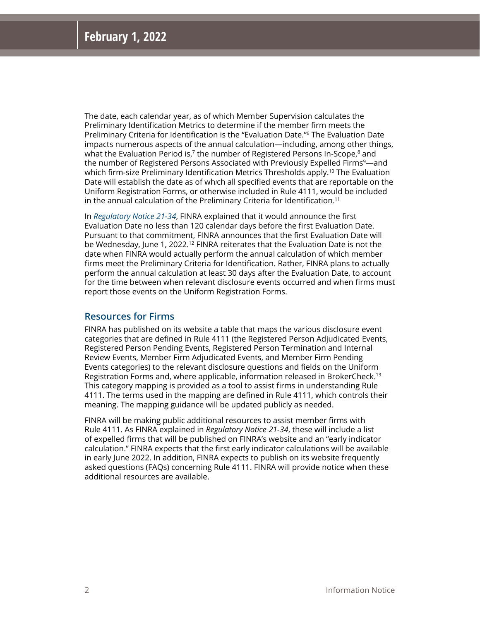The date, each calendar year, as of which Member Supervision calculates the Preliminary Identification Metrics to determine if the member firm meets the Preliminary Criteria for Identification is the "Evaluation Date."6 The Evaluation Date impacts numerous aspects of the annual calculation—including, among other things, what the Evaluation Period is, $7$  the number of Registered Persons In-Scope, $8$  and the number of Registered Persons Associated with Previously Expelled Firms<sup>9</sup>—and which firm-size Preliminary Identification Metrics Thresholds apply.<sup>10</sup> The Evaluation Date will establish the date as of wh*i*ch all specified events that are reportable on the Uniform Registration Forms, or otherwise included in Rule 4111, would be included in the annual calculation of the Preliminary Criteria for Identification.11

In *[Regulatory Notice 21-34](https://www.finra.org/rules-guidance/notices/21-34)*, FINRA explained that it would announce the first Evaluation Date no less than 120 calendar days before the first Evaluation Date. Pursuant to that commitment, FINRA announces that the first Evaluation Date will be Wednesday, June 1, 2022.<sup>12</sup> FINRA reiterates that the Evaluation Date is not the date when FINRA would actually perform the annual calculation of which member firms meet the Preliminary Criteria for Identification. Rather, FINRA plans to actually perform the annual calculation at least 30 days after the Evaluation Date, to account for the time between when relevant disclosure events occurred and when firms must report those events on the Uniform Registration Forms.

#### **Resources for Firms**

FINRA has published on its website a table that maps the various disclosure event categories that are defined in Rule 4111 (the Registered Person Adjudicated Events, Registered Person Pending Events, Registered Person Termination and Internal Review Events, Member Firm Adjudicated Events, and Member Firm Pending Events categories) to the relevant disclosure questions and fields on the Uniform Registration Forms and, where applicable, information released in BrokerCheck.13 This category mapping is provided as a tool to assist firms in understanding Rule 4111. The terms used in the mapping are defined in Rule 4111, which controls their meaning. The mapping guidance will be updated publicly as needed.

FINRA will be making public additional resources to assist member firms with Rule 4111. As FINRA explained in *Regulatory Notice 21-34*, these will include a list of expelled firms that will be published on FINRA's website and an "early indicator calculation." FINRA expects that the first early indicator calculations will be available in early June 2022. In addition, FINRA expects to publish on its website frequently asked questions (FAQs) concerning Rule 4111. FINRA will provide notice when these additional resources are available.